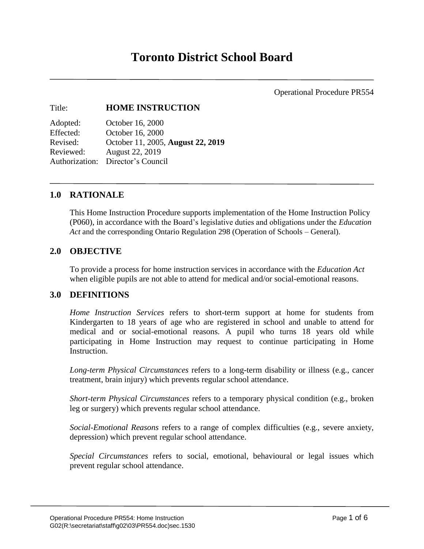Operational Procedure PR554

# Title: **HOME INSTRUCTION**

| Adopted:  | October 16, 2000                  |
|-----------|-----------------------------------|
| Effected: | October 16, 2000                  |
| Revised:  | October 11, 2005, August 22, 2019 |
| Reviewed: | <b>August 22, 2019</b>            |
|           | Authorization: Director's Council |

# **1.0 RATIONALE**

This Home Instruction Procedure supports implementation of the Home Instruction Policy (P060), in accordance with the Board's legislative duties and obligations under the *Education Act* and the corresponding Ontario Regulation 298 (Operation of Schools – General).

# **2.0 OBJECTIVE**

To provide a process for home instruction services in accordance with the *Education Act*  when eligible pupils are not able to attend for medical and/or social-emotional reasons.

### **3.0 DEFINITIONS**

*Home Instruction Services* refers to short-term support at home for students from Kindergarten to 18 years of age who are registered in school and unable to attend for medical and or social-emotional reasons. A pupil who turns 18 years old while participating in Home Instruction may request to continue participating in Home Instruction.

*Long-term Physical Circumstances* refers to a long-term disability or illness (e.g., cancer treatment, brain injury) which prevents regular school attendance.

*Short-term Physical Circumstances* refers to a temporary physical condition (e.g., broken leg or surgery) which prevents regular school attendance.

*Social-Emotional Reasons* refers to a range of complex difficulties (e.g., severe anxiety, depression) which prevent regular school attendance.

*Special Circumstances* refers to social, emotional, behavioural or legal issues which prevent regular school attendance.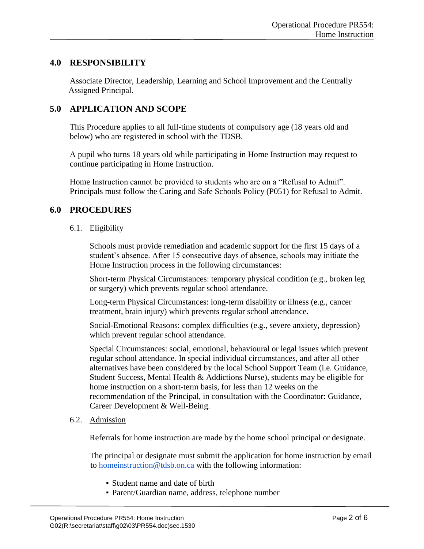# **4.0 RESPONSIBILITY**

Associate Director, Leadership, Learning and School Improvement and the Centrally Assigned Principal.

# **5.0 APPLICATION AND SCOPE**

This Procedure applies to all full-time students of compulsory age (18 years old and below) who are registered in school with the TDSB.

A pupil who turns 18 years old while participating in Home Instruction may request to continue participating in Home Instruction.

Home Instruction cannot be provided to students who are on a "Refusal to Admit". Principals must follow the Caring and Safe Schools Policy (P051) for Refusal to Admit.

### **6.0 PROCEDURES**

6.1. Eligibility

Schools must provide remediation and academic support for the first 15 days of a student's absence. After 15 consecutive days of absence, schools may initiate the Home Instruction process in the following circumstances:

Short-term Physical Circumstances: temporary physical condition (e.g., broken leg or surgery) which prevents regular school attendance.

Long-term Physical Circumstances: long-term disability or illness (e.g., cancer treatment, brain injury) which prevents regular school attendance.

Social-Emotional Reasons: complex difficulties (e.g., severe anxiety, depression) which prevent regular school attendance.

Special Circumstances: social, emotional, behavioural or legal issues which prevent regular school attendance. In special individual circumstances, and after all other alternatives have been considered by the local School Support Team (i.e. Guidance, Student Success, Mental Health & Addictions Nurse), students may be eligible for home instruction on a short-term basis, for less than 12 weeks on the recommendation of the Principal, in consultation with the Coordinator: Guidance, Career Development & Well-Being.

#### 6.2. Admission

Referrals for home instruction are made by the home school principal or designate.

The principal or designate must submit the application for home instruction by email to [homeinstruction@tdsb.on.ca](mailto:homeinstruction@tdsb.on.ca) with the following information:

- Student name and date of birth
- Parent/Guardian name, address, telephone number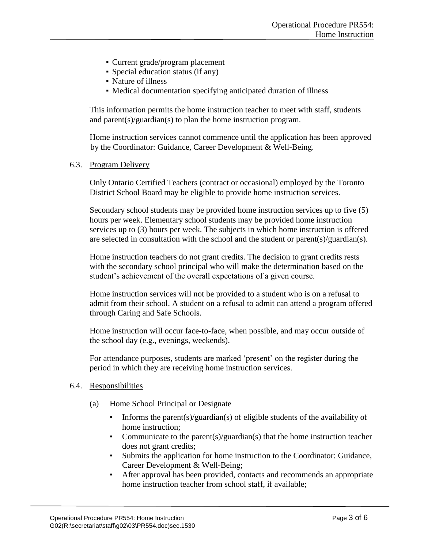- Current grade/program placement
- Special education status (if any)
- Nature of illness
- Medical documentation specifying anticipated duration of illness

This information permits the home instruction teacher to meet with staff, students and parent(s)/guardian(s) to plan the home instruction program.

Home instruction services cannot commence until the application has been approved by the Coordinator: Guidance, Career Development & Well-Being.

#### 6.3. Program Delivery

Only Ontario Certified Teachers (contract or occasional) employed by the Toronto District School Board may be eligible to provide home instruction services.

Secondary school students may be provided home instruction services up to five (5) hours per week. Elementary school students may be provided home instruction services up to (3) hours per week. The subjects in which home instruction is offered are selected in consultation with the school and the student or parent(s)/guardian(s).

Home instruction teachers do not grant credits. The decision to grant credits rests with the secondary school principal who will make the determination based on the student's achievement of the overall expectations of a given course.

Home instruction services will not be provided to a student who is on a refusal to admit from their school. A student on a refusal to admit can attend a program offered through Caring and Safe Schools.

Home instruction will occur face-to-face, when possible, and may occur outside of the school day (e.g., evenings, weekends).

For attendance purposes, students are marked 'present' on the register during the period in which they are receiving home instruction services.

#### 6.4. Responsibilities

- (a) Home School Principal or Designate
	- Informs the parent(s)/guardian(s) of eligible students of the availability of home instruction;
	- Communicate to the parent(s)/guardian(s) that the home instruction teacher does not grant credits;
	- Submits the application for home instruction to the Coordinator: Guidance, Career Development & Well-Being;
	- After approval has been provided, contacts and recommends an appropriate home instruction teacher from school staff, if available;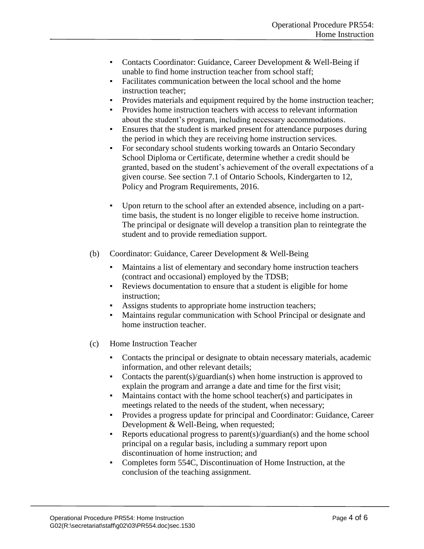- Contacts Coordinator: Guidance, Career Development & Well-Being if unable to find home instruction teacher from school staff;
- Facilitates communication between the local school and the home instruction teacher;
- Provides materials and equipment required by the home instruction teacher;
- Provides home instruction teachers with access to relevant information about the student's program, including necessary accommodations.
- Ensures that the student is marked present for attendance purposes during the period in which they are receiving home instruction services.
- For secondary school students working towards an Ontario Secondary School Diploma or Certificate, determine whether a credit should be granted, based on the student's achievement of the overall expectations of a given course. See section 7.1 of Ontario Schools, Kindergarten to 12, Policy and Program Requirements, 2016.
- Upon return to the school after an extended absence, including on a parttime basis, the student is no longer eligible to receive home instruction. The principal or designate will develop a transition plan to reintegrate the student and to provide remediation support.
- (b) Coordinator: Guidance, Career Development & Well-Being
	- Maintains a list of elementary and secondary home instruction teachers (contract and occasional) employed by the TDSB;
	- Reviews documentation to ensure that a student is eligible for home instruction;
	- Assigns students to appropriate home instruction teachers;
	- Maintains regular communication with School Principal or designate and home instruction teacher.
- (c) Home Instruction Teacher
	- Contacts the principal or designate to obtain necessary materials, academic information, and other relevant details;
	- Contacts the parent(s)/guardian(s) when home instruction is approved to explain the program and arrange a date and time for the first visit;
	- Maintains contact with the home school teacher(s) and participates in meetings related to the needs of the student, when necessary;
	- Provides a progress update for principal and Coordinator: Guidance, Career Development & Well-Being, when requested;
	- Reports educational progress to parent(s)/guardian(s) and the home school principal on a regular basis, including a summary report upon discontinuation of home instruction; and
	- Completes form 554C, Discontinuation of Home Instruction, at the conclusion of the teaching assignment.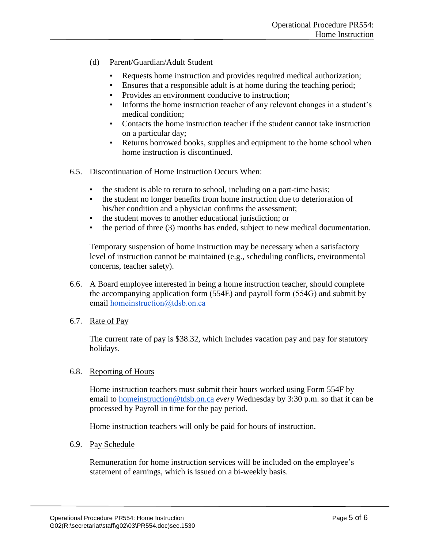- (d) Parent/Guardian/Adult Student
	- Requests home instruction and provides required medical authorization;
	- Ensures that a responsible adult is at home during the teaching period;
	- Provides an environment conducive to instruction;
	- Informs the home instruction teacher of any relevant changes in a student's medical condition;
	- Contacts the home instruction teacher if the student cannot take instruction on a particular day;
	- Returns borrowed books, supplies and equipment to the home school when home instruction is discontinued.
- 6.5. Discontinuation of Home Instruction Occurs When:
	- the student is able to return to school, including on a part-time basis;
	- the student no longer benefits from home instruction due to deterioration of his/her condition and a physician confirms the assessment;
	- the student moves to another educational jurisdiction; or
	- the period of three (3) months has ended, subject to new medical documentation.

Temporary suspension of home instruction may be necessary when a satisfactory level of instruction cannot be maintained (e.g., scheduling conflicts, environmental concerns, teacher safety).

- 6.6. A Board employee interested in being a home instruction teacher, should complete the accompanying application form (554E) and payroll form (554G) and submit by email [homeinstruction@tdsb.on.ca](mailto:homeinstruction@tdsb.on.ca)
- 6.7. Rate of Pay

The current rate of pay is \$38.32, which includes vacation pay and pay for statutory holidays.

### 6.8. Reporting of Hours

Home instruction teachers must submit their hours worked using Form 554F by email to [homeinstruction@tdsb.on.ca](mailto:homeinstruction@tdsb.on.ca) *every* Wednesday by 3:30 p.m. so that it can be processed by Payroll in time for the pay period.

Home instruction teachers will only be paid for hours of instruction.

### 6.9. Pay Schedule

Remuneration for home instruction services will be included on the employee's statement of earnings, which is issued on a bi-weekly basis.